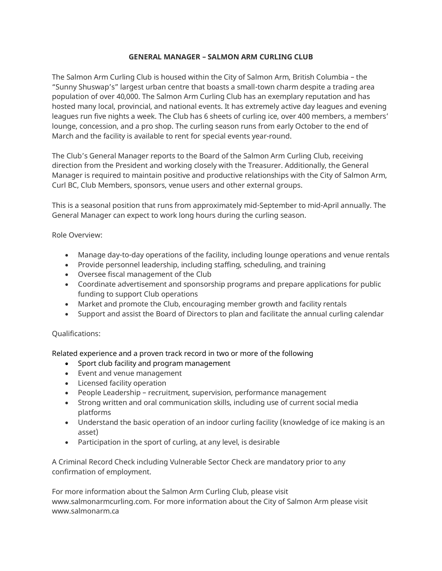## **GENERAL MANAGER – SALMON ARM CURLING CLUB**

The Salmon Arm Curling Club is housed within the City of Salmon Arm, British Columbia – the "Sunny Shuswap's" largest urban centre that boasts a small-town charm despite a trading area population of over 40,000. The Salmon Arm Curling Club has an exemplary reputation and has hosted many local, provincial, and national events. It has extremely active day leagues and evening leagues run five nights a week. The Club has 6 sheets of curling ice, over 400 members, a members' lounge, concession, and a pro shop. The curling season runs from early October to the end of March and the facility is available to rent for special events year-round.

The Club's General Manager reports to the Board of the Salmon Arm Curling Club, receiving direction from the President and working closely with the Treasurer. Additionally, the General Manager is required to maintain positive and productive relationships with the City of Salmon Arm, Curl BC, Club Members, sponsors, venue users and other external groups.

This is a seasonal position that runs from approximately mid-September to mid-April annually. The General Manager can expect to work long hours during the curling season.

Role Overview:

- Manage day-to-day operations of the facility, including lounge operations and venue rentals
- Provide personnel leadership, including staffing, scheduling, and training
- Oversee fiscal management of the Club
- Coordinate advertisement and sponsorship programs and prepare applications for public funding to support Club operations
- Market and promote the Club, encouraging member growth and facility rentals
- Support and assist the Board of Directors to plan and facilitate the annual curling calendar

## Qualifications:

Related experience and a proven track record in two or more of the following

- Sport club facility and program management
- Event and venue management
- Licensed facility operation
- People Leadership recruitment, supervision, performance management
- Strong written and oral communication skills, including use of current social media platforms
- Understand the basic operation of an indoor curling facility (knowledge of ice making is an asset)
- Participation in the sport of curling, at any level, is desirable

A Criminal Record Check including Vulnerable Sector Check are mandatory prior to any confirmation of employment.

For more information about the Salmon Arm Curling Club, please visit www.salmonarmcurling.com. For more information about the City of Salmon Arm please visit www.salmonarm.ca